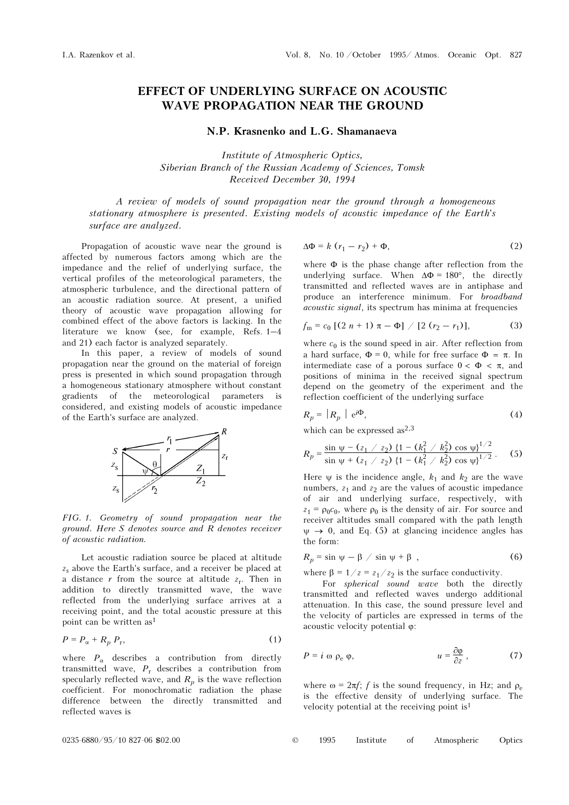## EFFECT OF UNDERLYING SURFACE ON ACOUSTIC WAVE PROPAGATION NEAR THE GROUND

## N.P. Krasnenko and L.G. Shamanaeva

Institute of Atmospheric Optics, Siberian Branch of the Russian Academy of Sciences, Tomsk Received December 30, 1994

A review of models of sound propagation near the ground through a homogeneous stationary atmosphere is presented. Existing models of acoustic impedance of the Earth's surface are analyzed.

Propagation of acoustic wave near the ground is affected by numerous factors among which are the impedance and the relief of underlying surface, the vertical profiles of the meteorological parameters, the atmospheric turbulence, and the directional pattern of an acoustic radiation source. At present, a unified theory of acoustic wave propagation allowing for combined effect of the above factors is lacking. In the literature we know (see, for example, Refs. 1–4 and 21) each factor is analyzed separately.

In this paper, a review of models of sound propagation near the ground on the material of foreign press is presented in which sound propagation through a homogeneous stationary atmosphere without constant gradients of the meteorological parameters is considered, and existing models of acoustic impedance of the Earth's surface are analyzed.



FIG. 1. Geometry of sound propagation near the ground. Here S denotes source and R denotes receiver of acoustic radiation.

Let acoustic radiation source be placed at altitude  $z<sub>s</sub>$  above the Earth's surface, and a receiver be placed at a distance r from the source at altitude  $z_r$ . Then in addition to directly transmitted wave, the wave reflected from the underlying surface arrives at a receiving point, and the total acoustic pressure at this point can be written as<sup>1</sup>

$$
P = P_{\alpha} + R_p P_r,\tag{1}
$$

where  $P_{\alpha}$  describes a contribution from directly transmitted wave,  $P_r$  describes a contribution from specularly reflected wave, and  $R_p$  is the wave reflection coefficient. For monochromatic radiation the phase difference between the directly transmitted and reflected waves is

$$
\Delta \Phi = k (r_1 - r_2) + \Phi, \qquad (2)
$$

where  $\Phi$  is the phase change after reflection from the underlying surface. When  $\Delta \Phi = 180^\circ$ , the directly transmitted and reflected waves are in antiphase and produce an interference minimum. For broadband acoustic signal, its spectrum has minima at frequencies

$$
f_{\rm m} = c_0 \left[ (2 \; n + 1) \; \pi - \Phi \right] / \left[ 2 \; (r_2 - r_1) \right], \tag{3}
$$

where  $c_0$  is the sound speed in air. After reflection from a hard surface,  $\Phi = 0$ , while for free surface  $\Phi = \pi$ . In intermediate case of a porous surface  $0 < \Phi < \pi$ , and positions of minima in the received signal spectrum depend on the geometry of the experiment and the reflection coefficient of the underlying surface

$$
R_p = |R_p| e^{i\Phi}, \tag{4}
$$

which can be expressed as $^{2,3}$ 

$$
R_p = \frac{\sin \psi - (z_1 / z_2) \left\{1 - (k_1^2 / k_2^2) \cos \psi\right\}^{1/2}}{\sin \psi + (z_1 / z_2) \left\{1 - (k_1^2 / k_2^2) \cos \psi\right\}^{1/2}}.
$$
 (5)

Here  $\psi$  is the incidence angle,  $k_1$  and  $k_2$  are the wave numbers,  $z_1$  and  $z_2$  are the values of acoustic impedance of air and underlying surface, respectively, with  $z_1 = \rho_0 c_0$ , where  $\rho_0$  is the density of air. For source and receiver altitudes small compared with the path length  $\psi \rightarrow 0$ , and Eq. (5) at glancing incidence angles has the form:

$$
R_p = \sin \psi - \beta / \sin \psi + \beta , \qquad (6)
$$

where  $\beta = 1/z = z_1/z_2$  is the surface conductivity.

For *spherical* sound wave both the directly transmitted and reflected waves undergo additional attenuation. In this case, the sound pressure level and the velocity of particles are expressed in terms of the acoustic velocity potential ϕ:

$$
P = i \omega \rho_e \varphi, \qquad u = \frac{\partial \varphi}{\partial z}, \qquad (7)
$$

where  $\omega = 2\pi f$ ; f is the sound frequency, in Hz; and  $\rho_e$ is the effective density of underlying surface. The velocity potential at the receiving point is<sup>1</sup>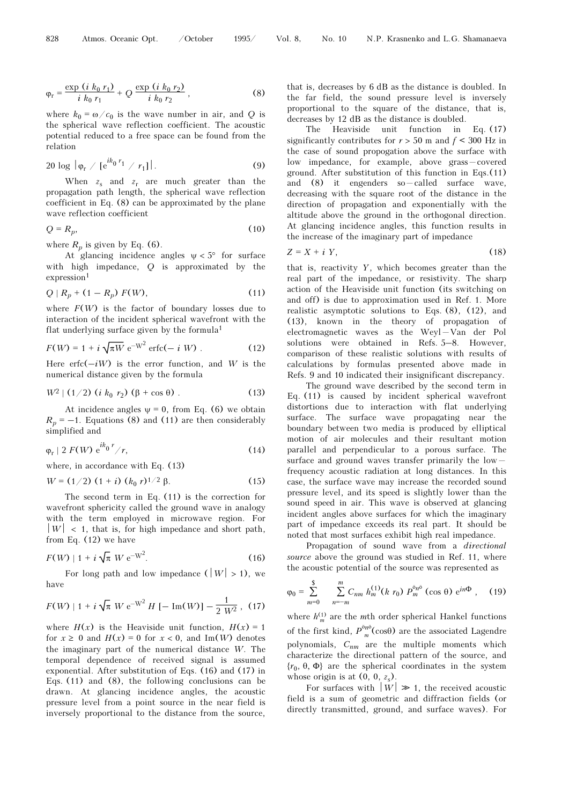$$
\varphi_{r} = \frac{\exp\left(i\ k_{0}\ r_{1}\right)}{i\ k_{0}\ r_{1}} + Q\ \frac{\exp\left(i\ k_{0}\ r_{2}\right)}{i\ k_{0}\ r_{2}}\,,\tag{8}
$$

where  $k_0 = \omega/c_0$  is the wave number in air, and Q is the spherical wave reflection coefficient. The acoustic potential reduced to a free space can be found from the relation

$$
20 \log |\varphi_r / [e^{ik_0 r_1} / r_1]|. \tag{9}
$$

When  $z_s$  and  $z_r$  are much greater than the propagation path length, the spherical wave reflection coefficient in Eq. (8) can be approximated by the plane wave reflection coefficient

$$
Q = R_p,\tag{10}
$$

where  $R_p$  is given by Eq. (6).

At glancing incidence angles  $\psi < 5^{\circ}$  for surface with high impedance, Q is approximated by the  $expression<sup>1</sup>$ 

$$
Q | R_p + (1 - R_p) F(W), \tag{11}
$$

where  $F(W)$  is the factor of boundary losses due to interaction of the incident spherical wavefront with the flat underlying surface given by the formula<sup>1</sup>

$$
F(W) = 1 + i \sqrt{\pi W} e^{-W^2} \text{erfc}(-i W) . \qquad (12)
$$

Here erfc $(-iW)$  is the error function, and W is the numerical distance given by the formula

$$
W^2 | (1/2) (i k_0 r_2) (\beta + \cos \theta).
$$
 (13)

At incidence angles  $\psi = 0$ , from Eq. (6) we obtain  $R_p = -1$ . Equations (8) and (11) are then considerably simplified and

$$
\varphi_{\rm r} \mid 2 \ F(W) \ \mathrm{e}^{ik_0 \ r} / r, \tag{14}
$$

where, in accordance with Eq. (13)

$$
W = (1/2) (1 + i) (k_0 r)^{1/2} \beta.
$$
 (15)

The second term in Eq. (11) is the correction for wavefront sphericity called the ground wave in analogy with the term employed in microwave region. For  $|W|$  < 1, that is, for high impedance and short path, from Eq. (12) we have

$$
F(W) | 1 + i \sqrt{\pi} \, W \, e^{-W^2}.
$$
 (16)

For long path and low impedance  $(|W| > 1)$ , we have

$$
F(W) | 1 + i \sqrt{\pi} \, W \, e^{-W^2} H \, [-\, \text{Im}(W)] - \frac{1}{2 \, W^2} \, , \tag{17}
$$

where  $H(x)$  is the Heaviside unit function,  $H(x) = 1$ for  $x \ge 0$  and  $H(x) = 0$  for  $x < 0$ , and Im(W) denotes the imaginary part of the numerical distance W. The temporal dependence of received signal is assumed exponential. After substitution of Eqs. (16) and (17) in Eqs. (11) and (8), the following conclusions can be drawn. At glancing incidence angles, the acoustic pressure level from a point source in the near field is inversely proportional to the distance from the source,

that is, decreases by 6 dB as the distance is doubled. In the far field, the sound pressure level is inversely proportional to the square of the distance, that is, decreases by 12 dB as the distance is doubled.

The Heaviside unit function in Eq. (17) significantly contributes for  $r > 50$  m and  $f < 300$  Hz in the case of sound propogation above the surface with low impedance, for example, above grass-covered ground. After substitution of this function in Eqs.(11) and  $(8)$  it engenders so - called surface wave, decreasing with the square root of the distance in the direction of propagation and exponentially with the altitude above the ground in the orthogonal direction. At glancing incidence angles, this function results in the increase of the imaginary part of impedance

$$
Z = X + iY, \tag{18}
$$

that is, reactivity  $Y$ , which becomes greater than the real part of the impedance, or resistivity. The sharp action of the Heaviside unit function (its switching on and off) is due to approximation used in Ref. 1. More realistic asymptotic solutions to Eqs. (8), (12), and (13), known in the theory of propagation of electromagnetic waves as the Weyl $-$ Van der Pol solutions were obtained in Refs. 5–8. However, comparison of these realistic solutions with results of calculations by formulas presented above made in Refs. 9 and 10 indicated their insignificant discrepancy.

The ground wave described by the second term in Eq. (11) is caused by incident spherical wavefront distortions due to interaction with flat underlying surface. The surface wave propagating near the boundary between two media is produced by elliptical motion of air molecules and their resultant motion parallel and perpendicular to a porous surface. The surface and ground waves transfer primarily the low  $$ frequency acoustic radiation at long distances. In this case, the surface wave may increase the recorded sound pressure level, and its speed is slightly lower than the sound speed in air. This wave is observed at glancing incident angles above surfaces for which the imaginary part of impedance exceeds its real part. It should be noted that most surfaces exhibit high real impedance.

Propagation of sound wave from a directional source above the ground was studied in Ref. 11, where the acoustic potential of the source was represented as

$$
\varphi_0 = \sum_{m=0}^{s} \sum_{n=-m}^{m} C_{nm} h_m^{(1)}(k r_0) P_m^{\delta n \delta} (\cos \theta) e^{in\Phi}, \quad (19)
$$

where  $h_m^{(1)}$  are the *m*th order spherical Hankel functions of the first kind,  $P_m^{\delta n \delta}(\cos \theta)$  are the associated Lagendre polynomials,  $C_{nm}$  are the multiple moments which characterize the directional pattern of the source, and  ${r_0, \theta, \Phi}$  are the spherical coordinates in the system whose origin is at  $(0, 0, z_s)$ .

For surfaces with  $|W| \gg 1$ , the received acoustic field is a sum of geometric and diffraction fields (or directly transmitted, ground, and surface waves). For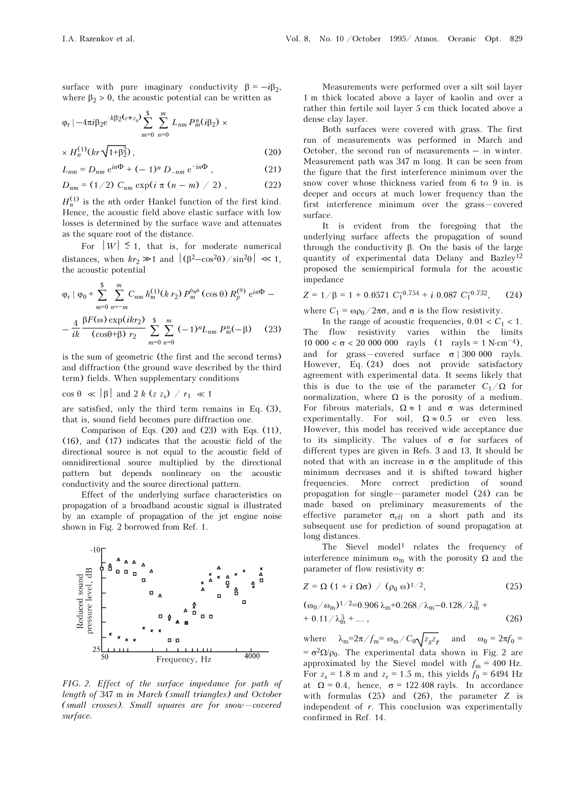surface with pure imaginary conductivity  $\beta = -i\beta_2$ , where  $\beta_2 > 0$ , the acoustic potential can be written as

$$
\varphi_r
$$
 |  $-4\pi i \beta_2 e^{-k\beta_2 (z+z_s)} \sum_{m=0}^{s} \sum_{n=0}^{m} L_{nm} P_m^n (i\beta_2) \times$ 

$$
\times H_n^{(1)}(kr\sqrt{1+\beta_2^2})\,,\tag{20}
$$

$$
L_{nm} = D_{nm} e^{in\Phi} + (-1)^n D_{-nm} e^{-in\Phi} , \qquad (21)
$$

$$
D_{nm} = (1/2) C_{nm} \exp(i \pi (n-m) / 2), \qquad (22)
$$

 $H_n^{(1)}$  is the *n*th order Hankel function of the first kind. Hence, the acoustic field above elastic surface with low losses is determined by the surface wave and attenuates as the square root of the distance.

For  $|W| \leq 1$ , that is, for moderate numerical distances, when  $kr_2 \gg 1$  and  $|(\beta^2 - \cos^2\theta)/\sin^2\theta| \ll 1$ , the acoustic potential

$$
\varphi_r | \varphi_0 + \sum_{m=0}^{s} \sum_{n=-m}^{m} C_{nm} h_m^{(1)}(k r_2) P_m^{\delta n \delta}(\cos \theta) R_p^{(\theta)} e^{in\Phi} - \\ - \frac{4}{ik} \frac{\beta F(\omega) \exp(ikr_2)}{(\cos \theta + \beta) r_2} \sum_{m=0}^{s} \sum_{n=0}^{m} (-1)^n L_{nm} P_m^n(-\beta) \tag{23}
$$

is the sum of geometric (the first and the second terms) and diffraction (the ground wave described by the third term) fields. When supplementary conditions

 $\cos \theta \ll |\beta|$  and 2 k (z z<sub>s</sub>) /  $r_1 \ll 1$ 

are satisfied, only the third term remains in Eq. (3), that is, sound field becomes pure diffraction one.

Comparison of Eqs. (20) and (23) with Eqs. (11), (16), and (17) indicates that the acoustic field of the directional source is not equal to the acoustic field of omnidirectional source multiplied by the directional pattern but depends nonlineary on the acoustic conductivity and the source directional pattern.

Effect of the underlying surface characteristics on propagation of a broadband acoustic signal is illustrated by an example of propagation of the jet engine noise shown in Fig. 2 borrowed from Ref. 1.



FIG. 2. Effect of the surface impedance for path of length of 347 m in March (small triangles) and October  $(small\ crosses)$ . Small squares are for snow - covered surface.

Measurements were performed over a silt soil layer 1 m thick located above a layer of kaolin and over a rather thin fertile soil layer 5 cm thick located above a dense clay layer.

Both surfaces were covered with grass. The first run of measurements was performed in March and October, the second run of measurements – in winter. Measurement path was 347 m long. It can be seen from the figure that the first interference minimum over the snow cover whose thickness varied from 6 to 9 in. is deeper and occurs at much lower frequency than the first interference minimum over the grass-covered surface.

It is evident from the foregoing that the underlying surface affects the propagation of sound through the conductivity β. On the basis of the large quantity of experimental data Delany and Bazley<sup>12</sup> proposed the semiempirical formula for the acoustic impedance

$$
Z = 1/\beta = 1 + 0.0571 C_1^{-0.754} + i 0.087 C_1^{-0.732}, \qquad (24)
$$

where  $C_1 = \omega \rho_0 / 2\pi \sigma$ , and  $\sigma$  is the flow resistivity.

In the range of acoustic frequencies,  $0.01 < C_1 < 1$ . The flow resistivity varies within the limits 10 000  $< \sigma$  < 20 000 000 rayls (1 rayls = 1 N⋅cm<sup>-4</sup>), and for grass-covered surface  $\sigma$  | 300 000 rayls. However, Eq. (24) does not provide satisfactory agreement with experimental data. It seems likely that this is due to the use of the parameter  $C_1/\Omega$  for normalization, where  $Ω$  is the porosity of a medium. For fibrous materials,  $\Omega \approx 1$  and  $\sigma$  was determined experimentally. For soil,  $\Omega \approx 0.5$  or even less. However, this model has received wide acceptance due to its simplicity. The values of  $\sigma$  for surfaces of different types are given in Refs. 3 and 13. It should be noted that with an increase in  $\sigma$  the amplitude of this minimum decreases and it is shifted toward higher frequencies. More correct prediction of sound propagation for single  $-p$ arameter model (24) can be made based on preliminary measurements of the effective parameter  $\sigma_{eff}$  on a short path and its subsequent use for prediction of sound propagation at long distances.

The Sievel model<sup>1</sup> relates the frequency of interference minimum  $\omega_m$  with the porosity  $\Omega$  and the parameter of flow resistivity σ:

$$
Z = \Omega \left(1 + i \Omega \sigma \right) / (\rho_0 \omega)^{1/2}, \qquad (25)
$$

$$
(\omega_0/\omega_m)^{1/2} = 0.906 \lambda_m + 0.268/\lambda_m - 0.128/\lambda_m^3 + 0.11/\lambda_m^5 + \dots,
$$
\n(26)

where  $\lambda_m = 2\pi / f_m = \omega_m / C_0 \sqrt{z_s z_r}$  and  $\omega_0 = 2\pi f_0 =$  $= \sigma^2 \Omega / \rho_0$ . The experimental data shown in Fig. 2 are approximated by the Sievel model with  $f_m = 400$  Hz. For  $z_s = 1.8$  m and  $z_r = 1.5$  m, this yields  $f_0 = 6494$  Hz at  $\Omega = 0.4$ , hence,  $\sigma = 122,408$  rayls. In accordance with formulas  $(25)$  and  $(26)$ , the parameter Z is independent of  $r$ . This conclusion was experimentally confirmed in Ref. 14.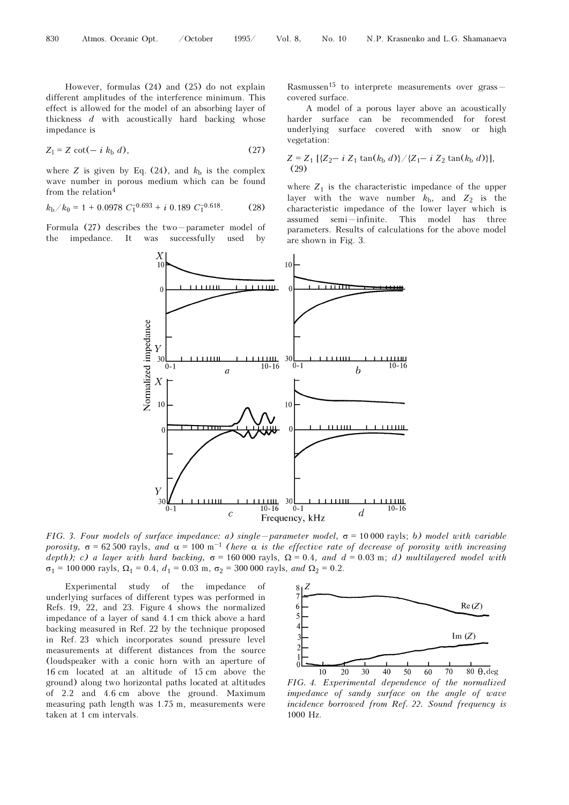However, formulas (24) and (25) do not explain different amplitudes of the interference minimum. This effect is allowed for the model of an absorbing layer of thickness  $d$  with acoustically hard backing whose impedance is

$$
Z_1 = Z \cot(-i k_b d), \qquad (27)
$$

where Z is given by Eq. (24), and  $k<sub>b</sub>$  is the complex wave number in porous medium which can be found from the relation<sup>4</sup>

$$
k_{\rm b}/k_0 = 1 + 0.0978 \ C_1^{-0.693} + i \ 0.189 \ C_1^{-0.618}.
$$
 (28)

Formula  $(27)$  describes the two - parameter model of the impedance. It was successfully used by

Rasmussen<sup>15</sup> to interprete measurements over grass  $$ covered surface.

A model of a porous layer above an acoustically harder surface can be recommended for forest underlying surface covered with snow or high vegetation:

$$
Z = Z_1 \left[ \{ Z_2 - i Z_1 \tan(k_b d) \} / \{ Z_1 - i Z_2 \tan(k_b d) \} \right],
$$
  
(29)

where  $Z_1$  is the characteristic impedance of the upper layer with the wave number  $k_{\rm b}$ , and  $Z_2$  is the characteristic impedance of the lower layer which is  $assumed$   $semi-infinite.$  This model has three parameters. Results of calculations for the above model are shown in Fig. 3.



FIG. 3. Four models of surface impedance: a) single - parameter model,  $\sigma$  = 10 000 rayls; b) model with variable porosity,  $\sigma = 62\,500$  rayls, and  $\alpha = 100 \text{ m}^{-1}$  (here  $\alpha$  is the effective rate of decrease of porosity with increasing depth); c) a layer with hard backing,  $\sigma = 160000$  rayls,  $\Omega = 0.4$ , and  $d = 0.03$  m; d) multilayered model with  $σ<sub>1</sub> = 100 000$  rayls,  $Ω<sub>1</sub> = 0.4$ ,  $d<sub>1</sub> = 0.03$  m,  $σ<sub>2</sub> = 300 000$  rayls, and  $Ω<sub>2</sub> = 0.2$ .

Experimental study of the impedance of underlying surfaces of different types was performed in Refs. 19, 22, and 23. Figure 4 shows the normalized impedance of a layer of sand 4.1 cm thick above a hard backing measured in Ref. 22 by the technique proposed in Ref. 23 which incorporates sound pressure level measurements at different distances from the source (loudspeaker with a conic horn with an aperture of 16 cm located at an altitude of 15 cm above the ground) along two horizontal paths located at altitudes of 2.2 and 4.6 cm above the ground. Maximum measuring path length was 1.75 m, measurements were taken at 1 cm intervals.



FIG. 4. Experimental dependence of the normalized impedance of sandy surface on the angle of wave incidence borrowed from Ref. 22. Sound frequency is 1000 Hz.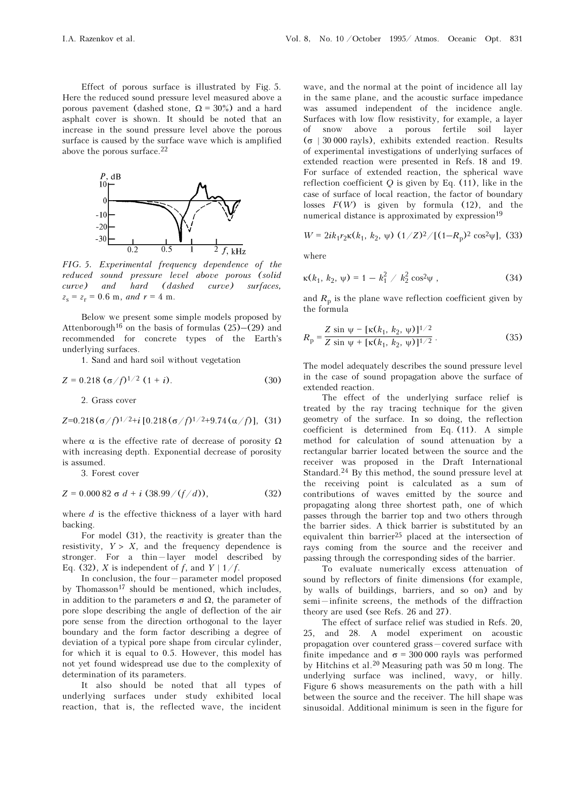Effect of porous surface is illustrated by Fig. 5. Here the reduced sound pressure level measured above a porous pavement (dashed stone,  $\Omega = 30\%$ ) and a hard asphalt cover is shown. It should be noted that an increase in the sound pressure level above the porous surface is caused by the surface wave which is amplified above the porous surface.<sup>22</sup>



FIG. 5. Experimental frequency dependence of the reduced sound pressure level above porous (solid curve) and hard (dashed curve) surfaces,  $z_{\rm s} = z_{\rm r} = 0.6$  m, and  $r = 4$  m.

Below we present some simple models proposed by Attenborough<sup>16</sup> on the basis of formulas  $(25)$ – $(29)$  and recommended for concrete types of the Earth's underlying surfaces.

1. Sand and hard soil without vegetation

$$
Z = 0.218 \; (\sigma/f)^{1/2} \; (1+i). \tag{30}
$$

2. Grass cover

$$
Z=0.218\left(\frac{\sigma}{f}\right)^{1/2}+i\left[0.218\left(\frac{\sigma}{f}\right)^{1/2}+9.74\left(\frac{\alpha}{f}\right)\right], (31)
$$

where  $\alpha$  is the effective rate of decrease of porosity  $\Omega$ with increasing depth. Exponential decrease of porosity is assumed.

3. Forest cover

$$
Z = 0.00082 \sigma d + i (38.99/(f/d)), \qquad (32)
$$

where  $d$  is the effective thickness of a layer with hard backing.

For model (31), the reactivity is greater than the resistivity,  $Y > X$ , and the frequency dependence is stronger. For a thin-layer model described by Eq. (32), X is independent of f, and  $Y \mid 1/f$ .

In conclusion, the four-parameter model proposed by Thomasson<sup>17</sup> should be mentioned, which includes, in addition to the parameters  $\sigma$  and  $\Omega$ , the parameter of pore slope describing the angle of deflection of the air pore sense from the direction orthogonal to the layer boundary and the form factor describing a degree of deviation of a typical pore shape from circular cylinder, for which it is equal to 0.5. However, this model has not yet found widespread use due to the complexity of determination of its parameters.

It also should be noted that all types of underlying surfaces under study exhibited local reaction, that is, the reflected wave, the incident

wave, and the normal at the point of incidence all lay in the same plane, and the acoustic surface impedance was assumed independent of the incidence angle. Surfaces with low flow resistivity, for example, a layer of snow above a porous fertile soil layer (σ | 30 000 rayls), exhibits extended reaction. Results of experimental investigations of underlying surfaces of extended reaction were presented in Refs. 18 and 19. For surface of extended reaction, the spherical wave reflection coefficient  $Q$  is given by Eq. (11), like in the case of surface of local reaction, the factor of boundary losses  $F(W)$  is given by formula (12), and the numerical distance is approximated by expression<sup>19</sup>

$$
W = 2ik_1r_2\kappa(k_1, k_2, \psi) (1/Z)^2 / [(1 - R_p)^2 \cos^2 \psi], (33)
$$

where

$$
\kappa(k_1, k_2, \psi) = 1 - k_1^2 / k_2^2 \cos^2 \psi , \qquad (34)
$$

and  $R_p$  is the plane wave reflection coefficient given by the formula

$$
R_{\rm p} = \frac{Z \sin \psi - [\kappa(k_1, k_2, \psi)]^{1/2}}{Z \sin \psi + [\kappa(k_1, k_2, \psi)]^{1/2}}.
$$
 (35)

The model adequately describes the sound pressure level in the case of sound propagation above the surface of extended reaction.

The effect of the underlying surface relief is treated by the ray tracing technique for the given geometry of the surface. In so doing, the reflection coefficient is determined from Eq. (11). A simple method for calculation of sound attenuation by a rectangular barrier located between the source and the receiver was proposed in the Draft International Standard.<sup>24</sup> By this method, the sound pressure level at the receiving point is calculated as a sum of contributions of waves emitted by the source and propagating along three shortest path, one of which passes through the barrier top and two others through the barrier sides. A thick barrier is substituted by an equivalent thin barrier<sup>25</sup> placed at the intersection of rays coming from the source and the receiver and passing through the corresponding sides of the barrier.

To evaluate numerically excess attenuation of sound by reflectors of finite dimensions (for example, by walls of buildings, barriers, and so on) and by semi-infinite screens, the methods of the diffraction theory are used (see Refs. 26 and 27).

The effect of surface relief was studied in Refs. 20, 25, and 28. A model experiment on acoustic propagation over countered grass-covered surface with finite impedance and  $\sigma$  = 300 000 rayls was performed by Hitchins et al.<sup>20</sup> Measuring path was 50 m long. The underlying surface was inclined, wavy, or hilly. Figure 6 shows measurements on the path with a hill between the source and the receiver. The hill shape was sinusoidal. Additional minimum is seen in the figure for